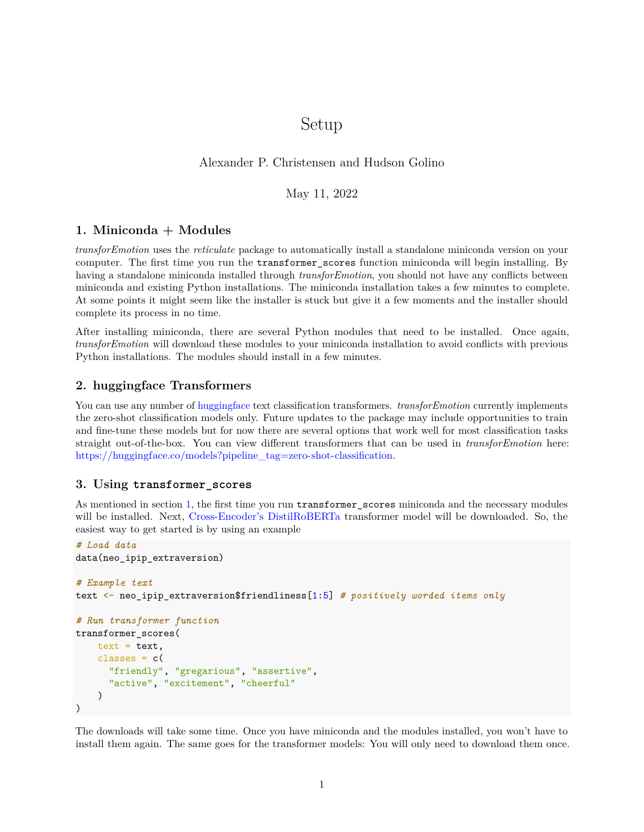# Setup

## Alexander P. Christensen and Hudson Golino

May 11, 2022

## <span id="page-0-0"></span>**1. Miniconda + Modules**

*transforEmotion* uses the *reticulate* package to automatically install a standalone miniconda version on your computer. The first time you run the transformer\_scores function miniconda will begin installing. By having a standalone miniconda installed through *transforEmotion*, you should not have any conflicts between miniconda and existing Python installations. The miniconda installation takes a few minutes to complete. At some points it might seem like the installer is stuck but give it a few moments and the installer should complete its process in no time.

After installing miniconda, there are several Python modules that need to be installed. Once again, *transforEmotion* will download these modules to your miniconda installation to avoid conflicts with previous Python installations. The modules should install in a few minutes.

#### **2. huggingface Transformers**

You can use any number of [huggingface](https://huggingface.co) text classification transformers. *transforEmotion* currently implements the zero-shot classification models only. Future updates to the package may include opportunities to train and fine-tune these models but for now there are several options that work well for most classification tasks straight out-of-the-box. You can view different transformers that can be used in *transforEmotion* here: [https://huggingface.co/models?pipeline\\_tag=zero-shot-classification.](https://huggingface.co/models?pipeline_tag=zero-shot-classification)

#### **3. Using transformer\_scores**

As mentioned in section [1,](#page-0-0) the first time you run transformer scores miniconda and the necessary modules will be installed. Next, [Cross-Encoder's DistilRoBERTa](https://huggingface.co/cross-encoder/nli-distilroberta-base) transformer model will be downloaded. So, the easiest way to get started is by using an example

```
# Load data
data(neo_ipip_extraversion)
# Example text
text <- neo_ipip_extraversion$friendliness[1:5] # positively worded items only
# Run transformer function
transformer_scores(
   text = text,classes = c("friendly", "gregarious", "assertive",
      "active", "excitement", "cheerful"
    )
)
```
The downloads will take some time. Once you have miniconda and the modules installed, you won't have to install them again. The same goes for the transformer models: You will only need to download them once.